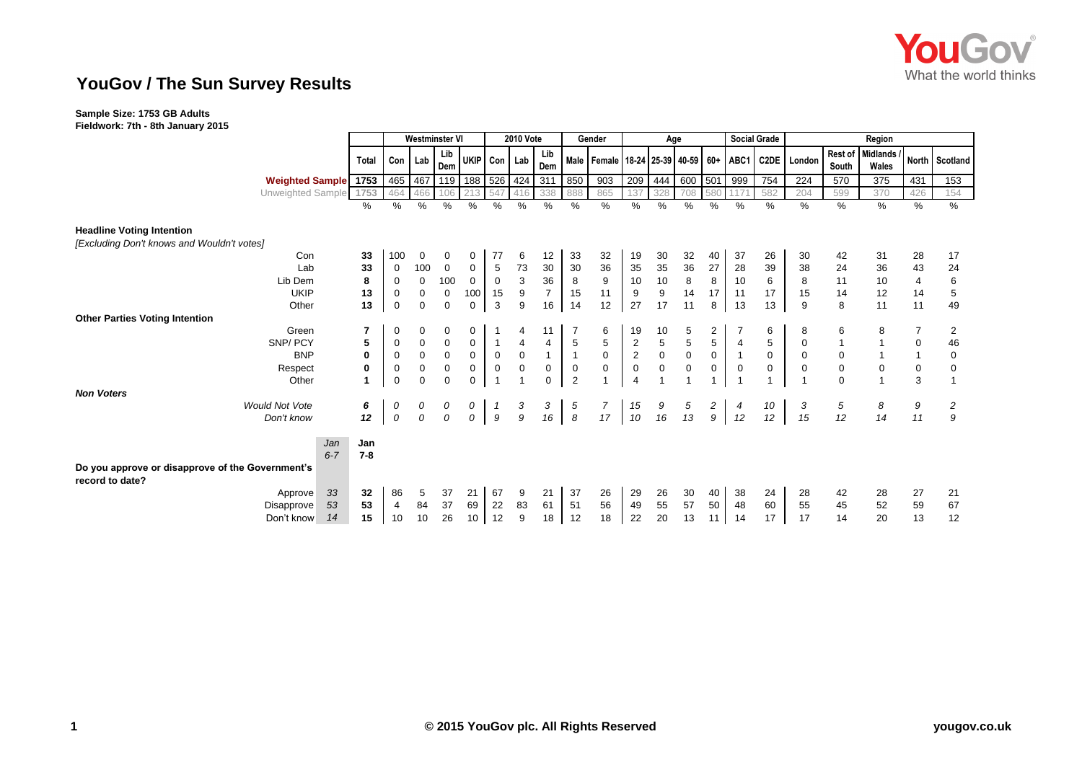

## **YouGov / The Sun Survey Results**

## **Sample Size: 1753 GB Adults**

**Fieldwork: 7th - 8th January 2015**

|                                                                     |         | <b>Westminster VI</b> |              |                     | <b>2010 Vote</b> |                         |                  | Gender         |                  | Age                                                |                |                                        |                                       |                                       | <b>Social Grade</b> | Region            |             |                  |                   |                |             |
|---------------------------------------------------------------------|---------|-----------------------|--------------|---------------------|------------------|-------------------------|------------------|----------------|------------------|----------------------------------------------------|----------------|----------------------------------------|---------------------------------------|---------------------------------------|---------------------|-------------------|-------------|------------------|-------------------|----------------|-------------|
|                                                                     | Total   | Con                   | Lab          | Lib<br>Dem          |                  |                         | UKIP Con Lab     | Lib<br>Dem     |                  | Male   Female   18-24   25-39   40-59   60+   ABC1 |                |                                        |                                       |                                       |                     | C <sub>2</sub> DE | London      | Rest of<br>South | Midlands<br>Wales | North          | Scotland    |
| <b>Weighted Sample</b> 1753                                         |         | 465                   | 467          | 119                 |                  |                         | 188 526 424 311  |                | 850              | 903                                                | 209            | 444                                    | 600 501                               |                                       | 999                 | 754               | 224         | 570              | 375               | 431            | 153         |
| Unweighted Sample                                                   | 1753    | 464                   | 466          | 106                 | 213              | 547                     | 416              | 338            | 888              | 865                                                | 137            | 328                                    | 708                                   | 580                                   | 117                 | 582               | 204         | 599              | 370               | 426            | 154         |
|                                                                     | %       | $\%$                  | $\%$         | %                   | %                | %                       | %                | $\%$           | %                | %                                                  | $\%$           | %                                      | $\%$                                  | $\%$                                  | $\frac{0}{0}$       | $\%$              | %           | %                | $\%$              | $\frac{9}{6}$  | %           |
| <b>Headline Voting Intention</b>                                    |         |                       |              |                     |                  |                         |                  |                |                  |                                                    |                |                                        |                                       |                                       |                     |                   |             |                  |                   |                |             |
| [Excluding Don't knows and Wouldn't votes]                          |         |                       |              |                     |                  |                         |                  |                |                  |                                                    |                |                                        |                                       |                                       |                     |                   |             |                  |                   |                |             |
| Con                                                                 | 33      | 100                   | 0            | 0                   | 0                | 77                      | 6                | 12             | 33               | 32                                                 | 19             | 30                                     | 32                                    | 40                                    | 37                  | 26                | 30          | 42               | 31                | 28             | 17          |
| Lab                                                                 | 33      | 0                     | 100          | $\mathbf 0$         | $\mathbf 0$      | $\sqrt{5}$              | 73               | 30             | 30               | 36                                                 | 35             | $35\,$                                 | 36                                    | 27                                    | 28                  | 39                | 38          | 24               | 36                | 43             | 24          |
| Lib Dem                                                             | 8       | 0                     | $\mathbf 0$  | 100                 | $\mathbf 0$      | $\mathbf 0$             | $\mathbf{3}$     | 36             | 8                | 9                                                  | 10             | $10\,$                                 | $\bf 8$                               | 8                                     | 10                  | 6                 | 8           | 11               | 10                | 4              | $\,6\,$     |
| <b>UKIP</b>                                                         | 13      | $\mathbf 0$           | $\mathbf 0$  | $\mathbf 0$         | 100              | 15                      | $\boldsymbol{9}$ | $\overline{7}$ | 15               | 11                                                 | 9              | $\boldsymbol{9}$                       | 14                                    | 17                                    | 11                  | 17                | 15          | 14               | 12                | 14             | $\,$ 5 $\,$ |
| Other                                                               | 13      | $\mathbf 0$           | $\mathbf 0$  | $\mathbf 0$         | $\mathbf 0$      | $\mathbf{3}$            | 9                | 16             | 14               | 12                                                 | 27             | 17                                     | 11                                    | 8                                     | 13                  | 13                | 9           | 8                | 11                | 11             | 49          |
| <b>Other Parties Voting Intention</b>                               |         |                       |              |                     |                  |                         |                  |                |                  |                                                    |                |                                        |                                       |                                       |                     |                   |             |                  |                   |                |             |
| Green                                                               | 7       | 0                     | 0            | 0                   | 0                |                         | 4                | 11             |                  | 6                                                  | 19             | 10                                     | 5                                     | $\frac{2}{5}$                         |                     | 6                 | 8           | 6                | 8                 | 7              | 2           |
| SNP/PCY                                                             | 5       | $\mathbf 0$           | $\pmb{0}$    | $\mathsf{O}\xspace$ | $\mathsf 0$      | $\overline{1}$          | $\overline{4}$   | 4              | $\,$ 5 $\,$      | $\sqrt{5}$                                         | $\frac{2}{2}$  | $\begin{array}{c} 5 \\ 0 \end{array}$  | $\begin{array}{c} 5 \\ 0 \end{array}$ |                                       | $\overline{4}$      | 5                 | $\mathbf 0$ |                  |                   | $\pmb{0}$      | 46          |
| <b>BNP</b>                                                          | 0       | $\mathbf 0$           | $\pmb{0}$    | $\mathsf 0$         | $\pmb{0}$        | $\pmb{0}$               | $\mathbf 0$      | $\mathbf{1}$   | $\mathbf{1}$     | $\pmb{0}$                                          |                |                                        |                                       | $\mathbf 0$                           |                     | $\mathbf 0$       | $\mathbf 0$ | $\pmb{0}$        |                   | $\mathbf{1}$   | $\mathbf 0$ |
| Respect                                                             | 0       | $\mathbf 0$           | $\pmb{0}$    | $\mathbf 0$         | $\pmb{0}$        | $\pmb{0}$               | $\pmb{0}$        | $\pmb{0}$      | $\boldsymbol{0}$ | $\mathbf 0$                                        | $\pmb{0}$      | $\pmb{0}$                              | $\mathbf 0$                           | $\mathsf 0$                           | $\mathbf 0$         | $\mathbf 0$       | $\mathbf 0$ | $\mathbf 0$      | $\boldsymbol{0}$  | $\pmb{0}$      | 0           |
| Other                                                               | 1       | $\mathbf 0$           | $\mathbf 0$  | $\mathbf 0$         | $\mathbf 0$      | $\overline{1}$          |                  | $\mathbf 0$    | $\overline{2}$   |                                                    | $\overline{4}$ | $\overline{1}$                         |                                       |                                       |                     |                   |             | $\Omega$         |                   | $\overline{3}$ |             |
| <b>Non Voters</b>                                                   |         |                       |              |                     |                  |                         |                  |                |                  |                                                    |                |                                        |                                       |                                       |                     |                   |             |                  |                   |                |             |
| <b>Would Not Vote</b>                                               | 6       | 0                     | 0            | 0                   | 0                | $\overline{\mathbf{1}}$ | $\frac{3}{9}$    | 3              | 5                | $\overline{7}$                                     | 15             | $\begin{array}{c} 9 \\ 16 \end{array}$ | $\frac{5}{13}$                        | $\begin{array}{c} 2 \\ 9 \end{array}$ | 4                   | 10                | 3           | 5                | 8                 | 9              | 2           |
| Don't know                                                          | 12      | 0                     | $\mathcal O$ | $\mathcal O$        | 0                | $\boldsymbol{g}$        |                  | 16             | $\boldsymbol{s}$ | 17                                                 | 10             |                                        |                                       |                                       | 12                  | 12                | 15          | 12               | 14                | 11             | 9           |
| Jan                                                                 | Jan     |                       |              |                     |                  |                         |                  |                |                  |                                                    |                |                                        |                                       |                                       |                     |                   |             |                  |                   |                |             |
| $6 - 7$                                                             | $7 - 8$ |                       |              |                     |                  |                         |                  |                |                  |                                                    |                |                                        |                                       |                                       |                     |                   |             |                  |                   |                |             |
| Do you approve or disapprove of the Government's<br>record to date? |         |                       |              |                     |                  |                         |                  |                |                  |                                                    |                |                                        |                                       |                                       |                     |                   |             |                  |                   |                |             |
| 33<br>Approve                                                       | 32      | 86                    | 5            | 37                  | 21               | 67                      | 9                | 21             | 37               | 26                                                 | 29             | 26                                     | 30                                    | 40                                    | 38                  | 24                | 28          | 42               | 28                | 27             | 21          |
| 53<br>Disapprove                                                    | 53      | 4                     | 84           | 37                  | 69               | 22                      | 83               | 61             | 51               | 56                                                 | 49             | 55                                     | 57                                    | 50                                    | 48                  | 60                | 55          | 45               | 52                | 59             | 67          |
| 14<br>Don't know                                                    | 15      | 10                    | 10           | 26                  | 10               | 12                      | 9                | 18             | 12               | 18                                                 | 22             | 20                                     | 13                                    | 11                                    | 14                  | 17                | 17          | 14               | 20                | 13             | 12          |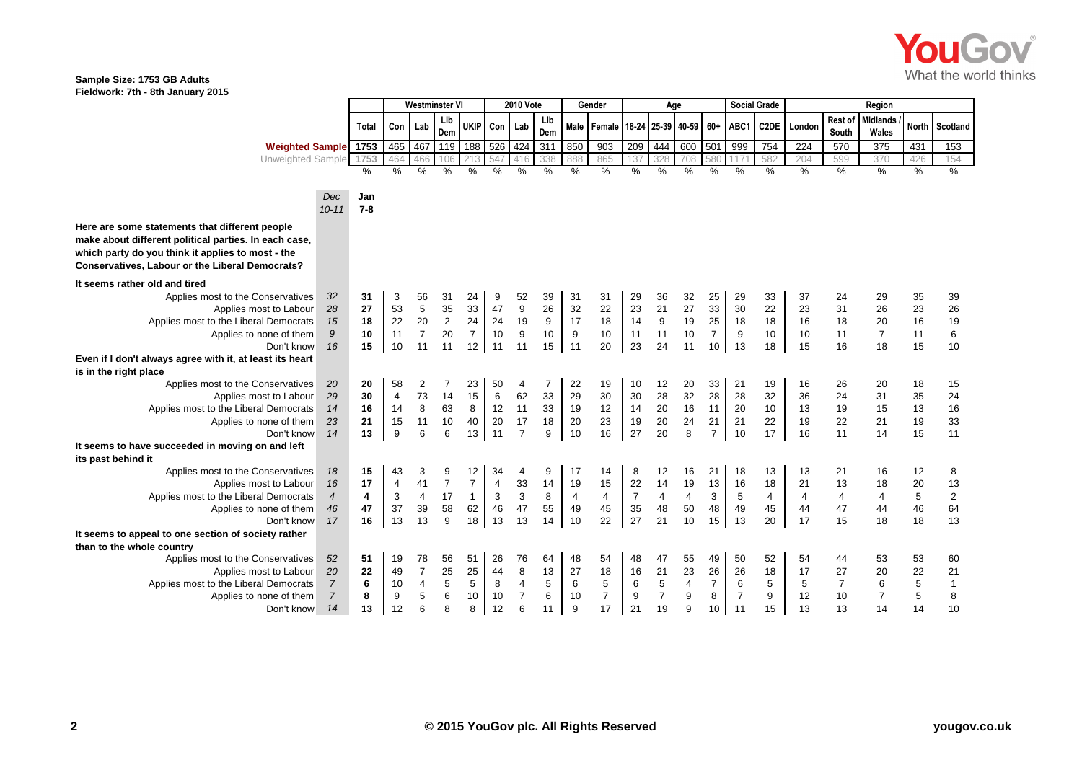

## **Sample Size: 1753 GB Adults Fieldwork: 7th - 8th January 2015**

|                                                                                                                                                                                                                 |                  |         | Westminster VI |                |                | <b>2010 Vote</b> |                |                | Gender         |      |                                       | Age            |                |      |                      | <b>Social Grade</b> | Region |        |                  |                   |              |                         |
|-----------------------------------------------------------------------------------------------------------------------------------------------------------------------------------------------------------------|------------------|---------|----------------|----------------|----------------|------------------|----------------|----------------|----------------|------|---------------------------------------|----------------|----------------|------|----------------------|---------------------|--------|--------|------------------|-------------------|--------------|-------------------------|
|                                                                                                                                                                                                                 |                  | Total   | Con Lab        |                | Lib<br>Dem     | <b>UKIP</b>      | Con            | Lab            | Lib<br>Dem     |      | Male   Female   18-24   25-39   40-59 |                |                |      | $60+$                | ABC1                | C2DE   | London | Rest of<br>South | Midlands<br>Wales | <b>North</b> | Scotland                |
| <b>Weighted Sample</b>                                                                                                                                                                                          |                  | 1753    | 465            | 467            | 119            | 188              | 526            | 424            | 311            | 850  | 903                                   | 209            | 444            | 600  | 501                  | 999                 | 754    | 224    | 570              | 375               | 431          | 153                     |
| Unweighted Sample                                                                                                                                                                                               |                  | 1753    | 46             | 466            | 106            |                  |                | 416            | 338            | 888  | 865                                   | 137            | 328            | 708  | 580                  | 117                 | 582    | 204    | 599              | 370               | 426          | 154                     |
|                                                                                                                                                                                                                 |                  | $\%$    | $\%$           | %              | $\%$           | $\%$             | %              | %              | $\%$           | $\%$ | $\%$                                  | $\%$           | $\%$           | $\%$ | $\%$                 | %                   | %      | %      | $\%$             | $\frac{9}{6}$     | $\%$         | $\%$                    |
|                                                                                                                                                                                                                 | Dec              | Jan     |                |                |                |                  |                |                |                |      |                                       |                |                |      |                      |                     |        |        |                  |                   |              |                         |
|                                                                                                                                                                                                                 | $10 - 11$        | $7 - 8$ |                |                |                |                  |                |                |                |      |                                       |                |                |      |                      |                     |        |        |                  |                   |              |                         |
| Here are some statements that different people<br>make about different political parties. In each case,<br>which party do you think it applies to most - the<br>Conservatives, Labour or the Liberal Democrats? |                  |         |                |                |                |                  |                |                |                |      |                                       |                |                |      |                      |                     |        |        |                  |                   |              |                         |
| It seems rather old and tired                                                                                                                                                                                   |                  |         |                |                |                |                  |                |                |                |      |                                       |                |                |      |                      |                     |        |        |                  |                   |              |                         |
| Applies most to the Conservatives                                                                                                                                                                               | 32               | 31      | 3              | 56             | 31             | 24               | 9              | 52             | 39             | 31   | 31                                    | 29             | 36             | 32   | 25                   | 29                  | 33     | 37     | 24               | 29                | 35           | 39                      |
| Applies most to Labour                                                                                                                                                                                          | 28               | 27      | 53             | 5              | 35             | 33               | 47             | 9              | 26             | 32   | 22                                    | 23             | 21             | 27   | 33                   | 30                  | 22     | 23     | 31               | 26                | 23           | 26                      |
| Applies most to the Liberal Democrats                                                                                                                                                                           | 15               | 18      | 22             | 20             | $\mathbf 2$    | 24               | 24             | 19             | 9              | 17   | 18                                    | 14             | 9              | 19   | 25                   | 18                  | 18     | 16     | 18               | 20                | 16           | 19                      |
| Applies to none of them                                                                                                                                                                                         | 9                | 10      | 11             | $\overline{7}$ | 20             | $\overline{7}$   | 10             | 9              | 10             | 9    | 10                                    | 11             | 11             | 10   | $\overline{7}$       | 9                   | 10     | 10     | 11               | $\overline{7}$    | 11           | 6                       |
| Don't know                                                                                                                                                                                                      | 16               | 15      | 10             | 11             | 11             | 12               | 11             | 11             | 15             | 11   | 20                                    | 23             | 24             | 11   | 10                   | 13                  | 18     | 15     | 16               | 18                | 15           | 10                      |
| Even if I don't always agree with it, at least its heart                                                                                                                                                        |                  |         |                |                |                |                  |                |                |                |      |                                       |                |                |      |                      |                     |        |        |                  |                   |              |                         |
| is in the right place                                                                                                                                                                                           |                  |         |                |                |                |                  |                |                |                |      |                                       |                |                |      |                      |                     |        |        |                  |                   |              |                         |
| Applies most to the Conservatives                                                                                                                                                                               | 20               | 20      | 58             | 2              | 7              | 23               | 50             | 4              | $\overline{7}$ | 22   | 19                                    | 10             | 12             | 20   | 33                   | 21                  | 19     | 16     | 26               | 20                | 18           | 15                      |
| Applies most to Labour                                                                                                                                                                                          | 29               | 30      | 4              | 73             | 14             | 15               | 6              | 62             | 33             | 29   | 30                                    | 30             | 28             | 32   | 28                   | 28                  | 32     | 36     | 24               | 31                | 35           | 24                      |
| Applies most to the Liberal Democrats                                                                                                                                                                           | 14               | 16      | 14             | 8              | 63             | 8                | 12             | 11             | 33             | 19   | 12                                    | 14             | 20             | 16   | 11                   | 20                  | 10     | 13     | 19               | 15                | 13           | 16                      |
| Applies to none of them                                                                                                                                                                                         | 23               | 21      | 15             | 11             | 10             | 40               | 20             | 17             | 18             | 20   | 23                                    | 19             | 20             | 24   | 21                   | 21                  | 22     | 19     | 22               | 21                | 19           | 33                      |
| Don't know                                                                                                                                                                                                      | 14               | 13      | 9              | 6              | 6              | 13               | 11             | $\overline{7}$ | 9              | 10   | 16                                    | 27             | 20             | 8    | $\overline{7}$       | 10                  | 17     | 16     | 11               | 14                | 15           | 11                      |
| It seems to have succeeded in moving on and left                                                                                                                                                                |                  |         |                |                |                |                  |                |                |                |      |                                       |                |                |      |                      |                     |        |        |                  |                   |              |                         |
| its past behind it                                                                                                                                                                                              |                  |         |                |                |                |                  |                |                |                |      |                                       |                |                |      |                      |                     |        |        |                  |                   |              |                         |
| Applies most to the Conservatives                                                                                                                                                                               | 18               | 15      | 43             | 3              | 9              | 12               | 34             | 4              | 9              | 17   | 14                                    | 8              | 12             | 16   | 21                   | 18                  | 13     | 13     | 21               | 16                | 12           | 8                       |
| Applies most to Labour                                                                                                                                                                                          | 16               | 17      | 4              | 41             | $\overline{7}$ | $\overline{7}$   | $\overline{4}$ | 33             | 14             | 19   | 15                                    | 22             | 14             | 19   | 13                   | 16                  | 18     | 21     | 13               | 18                | 20           | 13                      |
| Applies most to the Liberal Democrats                                                                                                                                                                           | $\boldsymbol{4}$ | 4       | 3              | 4              | 17             | $\mathbf{1}$     | 3              | 3              | 8              | 4    | 4                                     | $\overline{7}$ | 4              | 4    | 3                    | 5                   | 4      | 4      | 4                | 4                 | 5            | $\overline{\mathbf{c}}$ |
| Applies to none of them                                                                                                                                                                                         | 46               | 47      | 37             | 39             | 58             | 62               | 46             | 47             | 55             | 49   | 45                                    | 35             | 48             | 50   | 48                   | 49                  | 45     | 44     | 47               | 44                | 46           | 64                      |
| Don't know                                                                                                                                                                                                      | 17               | 16      | 13             | 13             | 9              | 18               | 13             | 13             | 14             | 10   | 22                                    | 27             | 21             | 10   | 15                   | 13                  | 20     | 17     | 15               | 18                | 18           | 13                      |
| It seems to appeal to one section of society rather                                                                                                                                                             |                  |         |                |                |                |                  |                |                |                |      |                                       |                |                |      |                      |                     |        |        |                  |                   |              |                         |
| than to the whole country                                                                                                                                                                                       |                  |         |                |                |                |                  |                |                |                |      |                                       |                |                |      |                      |                     |        |        |                  |                   |              |                         |
| Applies most to the Conservatives                                                                                                                                                                               | 52               | 51      | 19             | 78             | 56             | 51               | 26             | 76             | 64             | 48   | 54                                    | 48             | 47             | 55   | 49                   | 50                  | 52     | 54     | 44               | 53                | 53           | 60                      |
| Applies most to Labour                                                                                                                                                                                          | 20               | 22      | 49             | $\overline{7}$ | 25<br>5        | 25               | 44             | 8<br>4         | 13             | 27   | 18                                    | 16             | 21             | 23   | 26<br>$\overline{7}$ | 26                  | 18     | 17     | 27               | 20                | 22           | 21                      |
| Applies most to the Liberal Democrats                                                                                                                                                                           | $\overline{7}$   | 6       | 10             | 4              |                | $\sqrt{5}$       | 8              |                | 5              | 6    | 5                                     | 6              | 5              | 4    |                      | 6                   | 5      | 5      | $\overline{7}$   | 6                 | 5            | $\mathbf 1$             |
| Applies to none of them                                                                                                                                                                                         | $\overline{7}$   | 8       | 9              | 5              | 6              | 10               | 10             | $\overline{7}$ | $\,6\,$        | 10   | $\overline{7}$                        | 9              | $\overline{7}$ | 9    | 8                    | $\overline{7}$      | 9      | 12     | 10               | $\overline{7}$    | 5            | 8                       |
| Don't know                                                                                                                                                                                                      | 14               | 13      | 12             | 6              | 8              | 8                | 12             | 6              | 11             | 9    | 17                                    | 21             | 19             | 9    | 10                   | 11                  | 15     | 13     | 13               | 14                | 14           | 10                      |